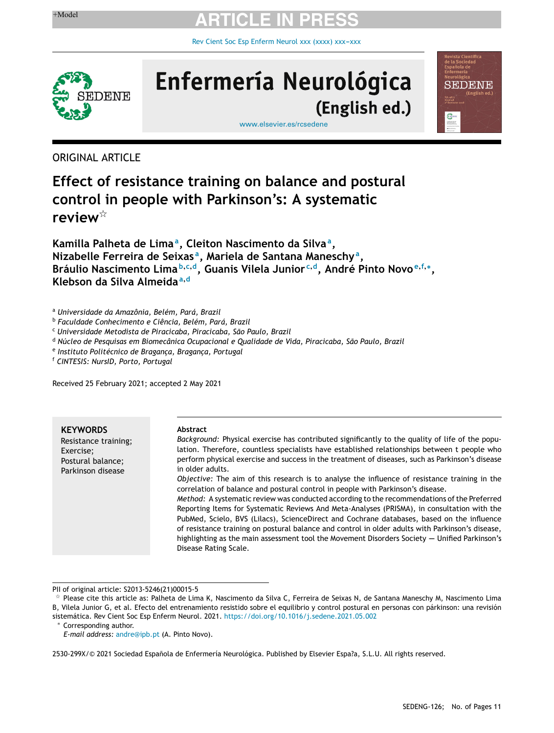Rev Cient Soc Esp Enferm Neurol xxx (xxxx) xxx-xxx



# Enfermería Neurológica (English ed.)

[www.elsevier.es/rcsedene](http://www.elsevier.es/rcsedene)

ORIGINAL ARTICLE

### **Effect of resistance training on balance and postural control in people with Parkinson's: A systematic** review<sup>\*</sup>

**Kamilla Palheta de Lima<sup>a</sup> , Cleiton Nascimento da Silva<sup>a</sup> , Nizabelle Ferreira de Seixas <sup>a</sup> , Mariela de Santana Maneschy<sup>a</sup> , Bráulio Nascimento Lima <sup>b</sup>**,**c**,**<sup>d</sup> , Guanis Vilela Junior <sup>c</sup>**,**<sup>d</sup> , André Pinto Novo <sup>e</sup>**,**f**,<sup>∗</sup> **, Klebson da Silva Almeida<sup>a</sup>**,**<sup>d</sup>**

<sup>a</sup> *Universidade da Amazônia, Belém, Pará, Brazil*

<sup>b</sup> *Faculdade Conhecimento e Ciência, Belém, Pará, Brazil*

<sup>c</sup> *Universidade Metodista de Piracicaba, Piracicaba, São Paulo, Brazil*

<sup>d</sup> *Núcleo de Pesquisas em Biomecânica Ocupacional e Qualidade de Vida, Piracicaba, São Paulo, Brazil*

e *Instituto Politécnico de Braganc¸a, Braganc¸a, Portugal*

<sup>f</sup> *CINTESIS: NursID, Porto, Portugal*

Received 25 February 2021; accepted 2 May 2021

**KEYWORDS** Resistance training; Exercise; Postural balance; Parkinson disease

#### **Abstract**

*Background:* Physical exercise has contributed significantly to the quality of life of the population. Therefore, countless specialists have established relationships between t people who perform physical exercise and success in the treatment of diseases, such as Parkinson's disease in older adults. *Objective:* The aim of this research is to analyse the influence of resistance training in the

correlation of balance and postural control in people with Parkinson's disease. *Method:* A systematic review was conducted according to the recommendations of the Preferred Reporting Items for Systematic Reviews And Meta-Analyses (PRISMA), in consultation with the PubMed, Scielo, BVS (Lilacs), ScienceDirect and Cochrane databases, based on the influence of resistance training on postural balance and control in older adults with Parkinson's disease, highlighting as the main assessment tool the Movement Disorders Society -- Unified Parkinson's Disease Rating Scale.

PII of original article: S2013-5246(21)00015-5

<sup>∗</sup> Corresponding author.

*E-mail address:* [andre@ipb.pt](mailto:andre@ipb.pt) (A. Pinto Novo).

2530-299X/© 2021 Sociedad Española de Enfermería Neurológica. Published by Elsevier Espa?a, S.L.U. All rights reserved.

**FIDENE** 

 $^\star$  Please cite this article as: Palheta de Lima K, Nascimento da Silva C, Ferreira de Seixas N, de Santana Maneschy M, Nascimento Lima B, Vilela Junior G, et al. Efecto del entrenamiento resistido sobre el equilibrio y control postural en personas con párkinson: una revisión sistemática. Rev Cient Soc Esp Enferm Neurol. 2021. <https://doi.org/10.1016/j.sedene.2021.05.002>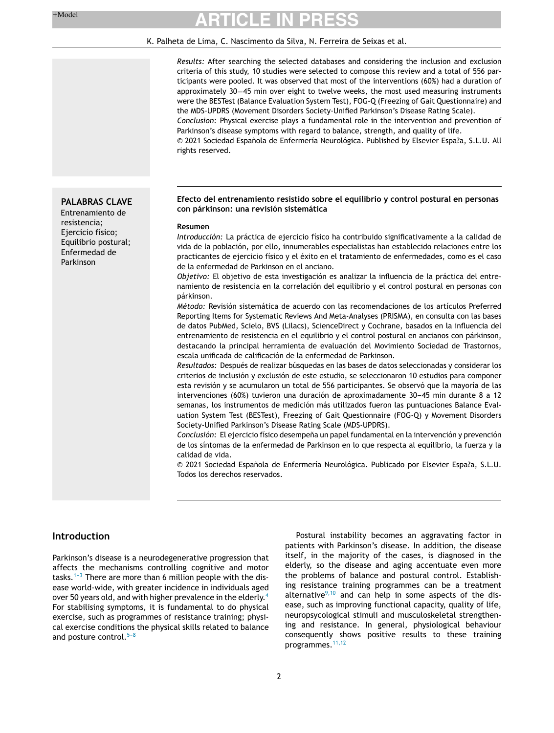**PALABRAS CLAVE** Entrenamiento de resistencia; Ejercicio físico; Equilibrio postural; Enfermedad de Parkinson

### **ARTICLE IN PRESS**

#### K. Palheta de Lima, C. Nascimento da Silva, N. Ferreira de Seixas et al.

*Results:* After searching the selected databases and considering the inclusion and exclusion criteria of this study, 10 studies were selected to compose this review and a total of 556 participants were pooled. It was observed that most of the interventions (60%) had a duration of approximately 30−45 min over eight to twelve weeks, the most used measuring instruments were the BESTest (Balance Evaluation System Test), FOG-Q (Freezing of Gait Questionnaire) and the MDS-UPDRS (Movement Disorders Society-Unified Parkinson's Disease Rating Scale). *Conclusion:* Physical exercise plays a fundamental role in the intervention and prevention of Parkinson's disease symptoms with regard to balance, strength, and quality of life.

 $© 2021$  Sociedad Española de Enfermería Neurológica. Published by Elsevier Espa?a, S.L.U. All rights reserved.

#### **Efecto del entrenamiento resistido sobre el equilibrio y control postural en personas con párkinson: una revisión sistemática**

#### **Resumen**

*Introducción:* La práctica de ejercicio físico ha contribuido significativamente a la calidad de vida de la población, por ello, innumerables especialistas han establecido relaciones entre los practicantes de ejercicio físico y el éxito en el tratamiento de enfermedades, como es el caso de la enfermedad de Parkinson en el anciano.

*Objetivo:* El objetivo de esta investigación es analizar la influencia de la práctica del entrenamiento de resistencia en la correlación del equilibrio y el control postural en personas con párkinson.

*Método:* Revisión sistemática de acuerdo con las recomendaciones de los artículos Preferred Reporting Items for Systematic Reviews And Meta-Analyses (PRISMA), en consulta con las bases de datos PubMed, Scielo, BVS (Lilacs), ScienceDirect y Cochrane, basados en la influencia del entrenamiento de resistencia en el equilibrio y el control postural en ancianos con párkinson, destacando la principal herramienta de evaluación del Movimiento Sociedad de Trastornos, escala unificada de calificación de la enfermedad de Parkinson.

*Resultados:* Después de realizar búsquedas en las bases de datos seleccionadas y considerar los criterios de inclusión y exclusión de este estudio, se seleccionaron 10 estudios para componer esta revisión y se acumularon un total de 556 participantes. Se observó que la mayoría de las intervenciones (60%) tuvieron una duración de aproximadamente 30-45 min durante 8 a 12 semanas, los instrumentos de medición más utilizados fueron las puntuaciones Balance Evaluation System Test (BESTest), Freezing of Gait Questionnaire (FOG-Q) y Movement Disorders Society-Unified Parkinson's Disease Rating Scale (MDS-UPDRS).

Conclusión: El ejercicio físico desempeña un papel fundamental en la intervención y prevención de los síntomas de la enfermedad de Parkinson en lo que respecta al equilibrio, la fuerza y la calidad de vida.

© 2021 Sociedad Española de Enfermería Neurológica. Publicado por Elsevier Espa?a, S.L.U. Todos los derechos reservados.

#### **Introduction**

Parkinson's disease is a neurodegenerative progression that affects the mechanisms controlling cognitive and motor tasks.<sup>1-3</sup> There are more than 6 million people with the disease world-wide, with greater incidence in individuals aged over 50 years old, and with higher prevalence in the elderly.<sup>[4](#page-9-0)</sup> For stabilising symptoms, it is fundamental to do physical exercise, such as programmes of resistance training; physical exercise conditions the physical skills related to balance and posture control. $5-8$ 

Postural instability becomes an aggravating factor in patients with Parkinson's disease. In addition, the disease itself, in the majority of the cases, is diagnosed in the elderly, so the disease and aging accentuate even more the problems of balance and postural control. Establishing resistance training programmes can be a treatment alternative $9,10$  and can help in some aspects of the disease, such as improving functional capacity, quality of life, neuropsycological stimuli and musculoskeletal strengthening and resistance. In general, physiological behaviour consequently shows positive results to these training programmes.<sup>[11,12](#page-9-0)</sup>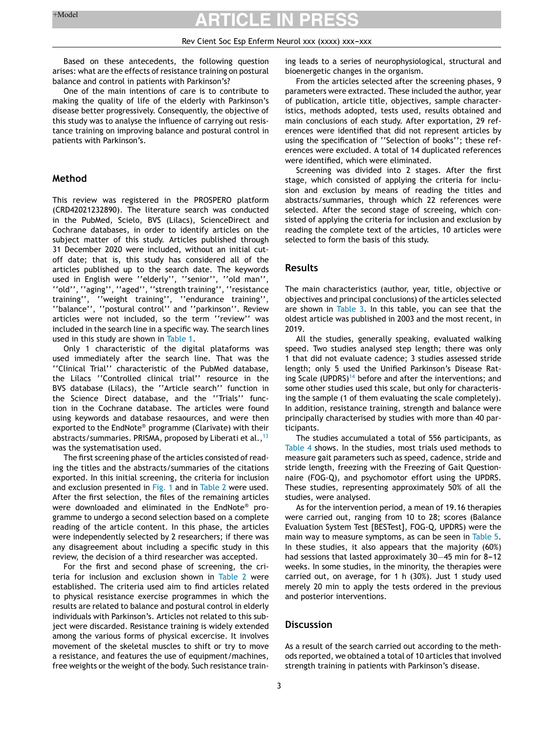#### Rev Cient Soc Esp Enferm Neurol xxx (xxxx) xxx-xxx

Based on these antecedents, the following question arises: what are the effects of resistance training on postural balance and control in patients with Parkinson's?

One of the main intentions of care is to contribute to making the quality of life of the elderly with Parkinson's disease better progressively. Consequently, the objective of this study was to analyse the influence of carrying out resistance training on improving balance and postural control in patients with Parkinson's.

#### **Method**

This review was registered in the PROSPERO platform (CRD42021232890). The literature search was conducted in the PubMed, Scielo, BVS (Lilacs), ScienceDirect and Cochrane databases, in order to identify articles on the subject matter of this study. Articles published through 31 December 2020 were included, without an initial cutoff date; that is, this study has considered all of the articles published up to the search date. The keywords used in English were ''elderly'', ''senior'', ''old man'', ''old'', ''aging'', ''aged'', ''strength training'', ''resistance training'', ''weight training'', ''endurance training'', ''balance'', ''postural control'' and ''parkinson''. Review articles were not included, so the term ''review'' was included in the search line in a specific way. The search lines used in this study are shown in [Table](#page-3-0) 1.

Only 1 characteristic of the digital plataforms was used immediately after the search line. That was the ''Clinical Trial'' characteristic of the PubMed database, the Lilacs ''Controlled clinical trial'' resource in the BVS database (Lilacs), the ''Article search'' function in the Science Direct database, and the ''Trials'' function in the Cochrane database. The articles were found using keywords and database resaources, and were then exported to the EndNote® programme (Clarivate) with their abstracts/summaries. PRISMA, proposed by Liberati et al.,  $^{13}$  $^{13}$  $^{13}$ was the systematisation used.

The first screening phase of the articles consisted of reading the titles and the abstracts/summaries of the citations exported. In this initial screening, the criteria for inclusion and exclusion presented in [Fig.](#page-3-0) 1 and in [Table](#page-4-0) 2 were used. After the first selection, the files of the remaining articles were downloaded and eliminated in the EndNote® programme to undergo a second selection based on a complete reading of the article content. In this phase, the articles were independently selected by 2 researchers; if there was any disagreement about including a specific study in this review, the decision of a third researcher was accepted.

For the first and second phase of screening, the criteria for inclusion and exclusion shown in [Table](#page-4-0) 2 were established. The criteria used aim to find articles related to physical resistance exercise programmes in which the results are related to balance and postural control in elderly individuals with Parkinson's. Articles not related to this subject were discarded. Resistance training is widely extended among the various forms of physical excercise. It involves movement of the skeletal muscles to shift or try to move a resistance, and features the use of equipment/machines, free weights or the weight of the body. Such resistance training leads to a series of neurophysiological, structural and bioenergetic changes in the organism.

From the articles selected after the screening phases, 9 parameters were extracted. These included the author, year of publication, article title, objectives, sample characteristics, methods adopted, tests used, results obtained and main conclusions of each study. After exportation, 29 references were identified that did not represent articles by using the specification of ''Selection of books''; these references were excluded. A total of 14 duplicated references were identified, which were eliminated.

Screening was divided into 2 stages. After the first stage, which consisted of applying the criteria for inclusion and exclusion by means of reading the titles and abstracts/summaries, through which 22 references were selected. After the second stage of screeing, which consisted of applying the criteria for inclusion and exclusion by reading the complete text of the articles, 10 articles were selected to form the basis of this study.

#### **Results**

The main characteristics (author, year, title, objective or objectives and principal conclusions) of the articles selected are shown in [Table](#page-5-0) 3. In this table, you can see that the oldest article was published in 2003 and the most recent, in 2019.

All the studies, generally speaking, evaluated walking speed. Two studies analysed step length; there was only 1 that did not evaluate cadence; 3 studies assessed stride length; only 5 used the Unified Parkinson's Disease Rat-ing Scale (UPDRS)<sup>[14](#page-9-0)</sup> before and after the interventions; and some other studies used this scale, but only for characterising the sample (1 of them evaluating the scale completely). In addition, resistance training, strength and balance were principally characterised by studies with more than 40 participants.

The studies accumulated a total of 556 participants, as [Table](#page-7-0) 4 shows. In the studies, most trials used methods to measure gait parameters such as speed, cadence, stride and stride length, freezing with the Freezing of Gait Questionnaire (FOG-Q), and psychomotor effort using the UPDRS. These studies, representing approximately 50% of all the studies, were analysed.

As for the intervention period, a mean of 19.16 therapies were carried out, ranging from 10 to 28; scores (Balance Evaluation System Test [BESTest], FOG-Q, UPDRS) were the main way to measure symptoms, as can be seen in [Table](#page-8-0) 5. In these studies, it also appears that the majority (60%) had sessions that lasted approximately 30–45 min for 8-12 weeks. In some studies, in the minority, the therapies were carried out, on average, for 1 h (30%). Just 1 study used merely 20 min to apply the tests ordered in the previous and posterior interventions.

#### **Discussion**

As a result of the search carried out according to the methods reported, we obtained a total of 10 articles that involved strength training in patients with Parkinson's disease.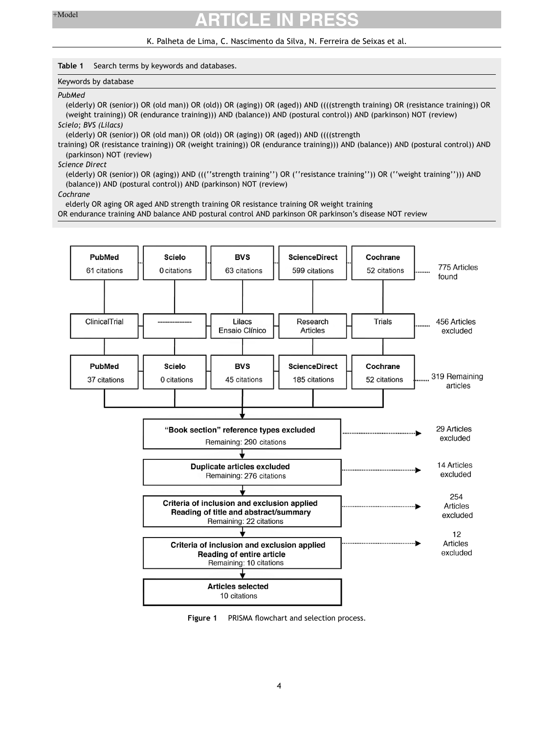#### K. Palheta de Lima, C. Nascimento da Silva, N. Ferreira de Seixas et al.

#### <span id="page-3-0"></span>**Table 1** Search terms by keywords and databases.

#### Keywords by database

#### *PubMed*

(elderly) OR (senior)) OR (old man)) OR (old)) OR (aging)) OR (aged)) AND ((((strength training) OR (resistance training)) OR (weight training)) OR (endurance training))) AND (balance)) AND (postural control)) AND (parkinson) NOT (review)

*Scielo; BVS (Lilacs)*

(elderly) OR (senior)) OR (old man)) OR (old)) OR (aging)) OR (aged)) AND ((((strength

training) OR (resistance training)) OR (weight training)) OR (endurance training))) AND (balance)) AND (postural control)) AND (parkinson) NOT (review)

*Science Direct*

(elderly) OR (senior)) OR (aging)) AND (((''strength training'') OR (''resistance training'')) OR (''weight training''))) AND (balance)) AND (postural control)) AND (parkinson) NOT (review)

*Cochrane*

elderly OR aging OR aged AND strength training OR resistance training OR weight training

OR endurance training AND balance AND postural control AND parkinson OR parkinson's disease NOT review



**Figure 1** PRISMA flowchart and selection process.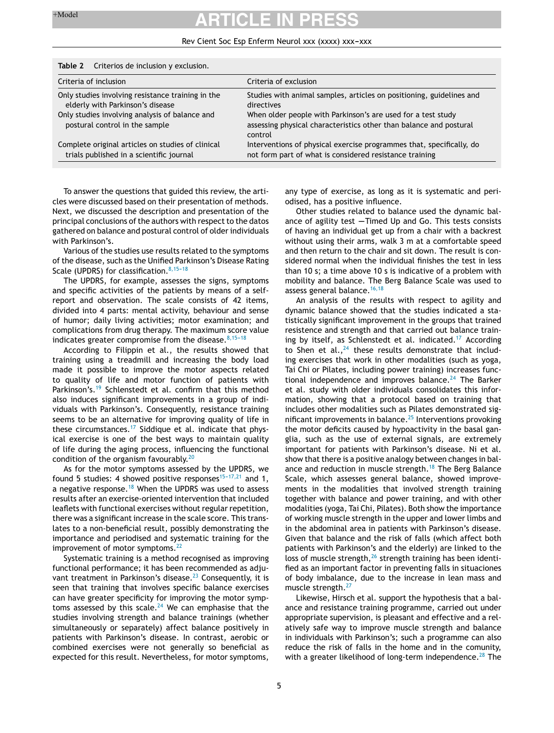#### Rev Cient Soc Esp Enferm Neurol xxx (xxxx) xxx-xxx

| <b>I able Z</b> Criterios de inclusión y exclusión.                                           |                                                                                                                                               |  |  |
|-----------------------------------------------------------------------------------------------|-----------------------------------------------------------------------------------------------------------------------------------------------|--|--|
| Criteria of inclusion                                                                         | Criteria of exclusion                                                                                                                         |  |  |
| Only studies involving resistance training in the<br>elderly with Parkinson's disease         | Studies with animal samples, articles on positioning, guidelines and<br>directives                                                            |  |  |
| Only studies involving analysis of balance and<br>postural control in the sample              | When older people with Parkinson's are used for a test study<br>assessing physical characteristics other than balance and postural<br>control |  |  |
| Complete original articles on studies of clinical<br>trials published in a scientific journal | Interventions of physical exercise programmes that, specifically, do<br>not form part of what is considered resistance training               |  |  |

<span id="page-4-0"></span>**Table 2** Criterios de inclusion y exclusion.

To answer the questions that guided this review, the articles were discussed based on their presentation of methods. Next, we discussed the description and presentation of the principal conclusions of the authors with respect to the datos gathered on balance and postural control of older individuals with Parkinson's.

Various of the studies use results related to the symptoms of the disease, such as the Unified Parkinson's Disease Rating Scale (UPDRS) for classification. $8,15-18$ 

The UPDRS, for example, assesses the signs, symptoms and specific activities of the patients by means of a selfreport and observation. The scale consists of 42 items, divided into 4 parts: mental activity, behaviour and sense of humor; daily living activities; motor examination; and complications from drug therapy. The maximum score value indicates greater compromise from the disease.  $8,15-18$ 

According to Filippin et al., the results showed that training using a treadmill and increasing the body load made it possible to improve the motor aspects related to quality of life and motor function of patients with Parkinson's.<sup>[19](#page-10-0)</sup> Schlenstedt et al. confirm that this method also induces significant improvements in a group of individuals with Parkinson's. Consequently, resistance training seems to be an alternative for improving quality of life in these circumstances.<sup>[17](#page-9-0)</sup> Siddique et al. indicate that physical exercise is one of the best ways to maintain quality of life during the aging process, influencing the functional condition of the organism favourably. $20$ 

As for the motor symptoms assessed by the UPDRS, we found 5 studies: 4 showed positive responses<sup>15-17,21</sup> and 1, a negative response.<sup>[18](#page-9-0)</sup> When the UPDRS was used to assess results after an exercise-oriented intervention that included leaflets with functional exercises without regular repetition, there was a significant increase in the scale score. This translates to a non-beneficial result, possibly demonstrating the importance and periodised and systematic training for the improvement of motor symptoms. $^{22}$  $^{22}$  $^{22}$ 

Systematic training is a method recognised as improving functional performance; it has been recommended as adju-vant treatment in Parkinson's disease.<sup>[23](#page-10-0)</sup> Consequently, it is seen that training that involves specific balance exercises can have greater specificity for improving the motor symp-toms assessed by this scale.<sup>[24](#page-10-0)</sup> We can emphasise that the studies involving strength and balance trainings (whether simultaneously or separately) affect balance positively in patients with Parkinson's disease. In contrast, aerobic or combined exercises were not generally so beneficial as expected for this result. Nevertheless, for motor symptoms, any type of exercise, as long as it is systematic and periodised, has a positive influence.

Other studies related to balance used the dynamic balance of agility test  $-$ Timed Up and Go. This tests consists of having an individual get up from a chair with a backrest without using their arms, walk 3 m at a comfortable speed and then return to the chair and sit down. The result is considered normal when the individual finishes the test in less than 10 s; a time above 10 s is indicative of a problem with mobility and balance. The Berg Balance Scale was used to assess general balance.<sup>[16,18](#page-9-0)</sup>

An analysis of the results with respect to agility and dynamic balance showed that the studies indicated a statistically significant improvement in the groups that trained resistence and strength and that carried out balance train-ing by itself, as Schlenstedt et al. indicated.<sup>[17](#page-9-0)</sup> According to Shen et al.,  $24$  these results demonstrate that including exercises that work in other modalities (such as yoga, Tai Chi or Pilates, including power training) increases func-tional independence and improves balance.<sup>[24](#page-10-0)</sup> The Barker et al. study with older individuals consolidates this information, showing that a protocol based on training that includes other modalities such as Pilates demonstrated sig-nificant improvements in balance.<sup>[25](#page-10-0)</sup> Interventions provoking the motor deficits caused by hypoactivity in the basal ganglia, such as the use of external signals, are extremely important for patients with Parkinson's disease. Ni et al. show that there is a positive analogy between changes in bal-ance and reduction in muscle strength.<sup>[18](#page-9-0)</sup> The Berg Balance Scale, which assesses general balance, showed improvements in the modalities that involved strength training together with balance and power training, and with other modalities (yoga, Tai Chi, Pilates). Both show the importance of working muscle strength in the upper and lower limbs and in the abdominal area in patients with Parkinson's disease. Given that balance and the risk of falls (which affect both patients with Parkinson's and the elderly) are linked to the loss of muscle strength,<sup>[26](#page-10-0)</sup> strength training has been identified as an important factor in preventing falls in situaciones of body imbalance, due to the increase in lean mass and muscle strength.<sup>[27](#page-10-0)</sup>

Likewise, Hirsch et al. support the hypothesis that a balance and resistance training programme, carried out under appropriate supervision, is pleasant and effective and a relatively safe way to improve muscle strength and balance in individuals with Parkinson's; such a programme can also reduce the risk of falls in the home and in the comunity, with a greater likelihood of long-term independence. $^{28}$  $^{28}$  $^{28}$  The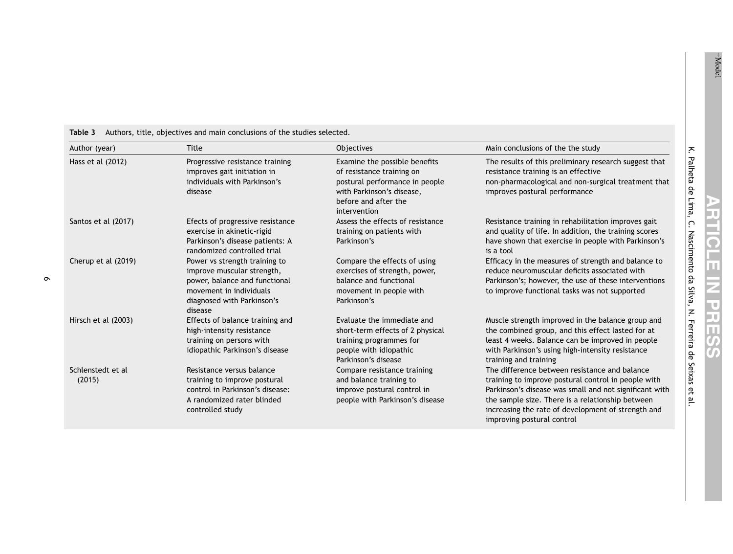| Author (year)               | Title                                                                                                                                                            | <b>Objectives</b>                                                                                                                                                 | Main conclusions of the the study                                                                                                                                                                                                                                                                      |
|-----------------------------|------------------------------------------------------------------------------------------------------------------------------------------------------------------|-------------------------------------------------------------------------------------------------------------------------------------------------------------------|--------------------------------------------------------------------------------------------------------------------------------------------------------------------------------------------------------------------------------------------------------------------------------------------------------|
| Hass et al (2012)           | Progressive resistance training<br>improves gait initiation in<br>individuals with Parkinson's<br>disease                                                        | Examine the possible benefits<br>of resistance training on<br>postural performance in people<br>with Parkinson's disease,<br>before and after the<br>intervention | The results of this preliminary research suggest that<br>resistance training is an effective<br>non-pharmacological and non-surgical treatment that<br>improves postural performance                                                                                                                   |
| Santos et al (2017)         | Efects of progressive resistance<br>exercise in akinetic-rigid<br>Parkinson's disease patients: A<br>randomized controlled trial                                 | Assess the effects of resistance<br>training on patients with<br>Parkinson's                                                                                      | Resistance training in rehabilitation improves gait<br>and quality of life. In addition, the training scores<br>have shown that exercise in people with Parkinson's<br>is a tool                                                                                                                       |
| Cherup et al (2019)         | Power vs strength training to<br>improve muscular strength,<br>power, balance and functional<br>movement in individuals<br>diagnosed with Parkinson's<br>disease | Compare the effects of using<br>exercises of strength, power,<br>balance and functional<br>movement in people with<br>Parkinson's                                 | Efficacy in the measures of strength and balance to<br>reduce neuromuscular deficits associated with<br>Parkinson's; however, the use of these interventions<br>to improve functional tasks was not supported                                                                                          |
| Hirsch et al (2003)         | Effects of balance training and<br>high-intensity resistance<br>training on persons with<br>idiopathic Parkinson's disease                                       | Evaluate the immediate and<br>short-term effects of 2 physical<br>training programmes for<br>people with idiopathic<br>Parkinson's disease                        | Muscle strength improved in the balance group and<br>the combined group, and this effect lasted for at<br>least 4 weeks. Balance can be improved in people<br>with Parkinson's using high-intensity resistance<br>training and training                                                                |
| Schlenstedt et al<br>(2015) | Resistance versus balance<br>training to improve postural<br>control in Parkinson's disease:<br>A randomized rater blinded<br>controlled study                   | Compare resistance training<br>and balance training to<br>improve postural control in<br>people with Parkinson's disease                                          | The difference between resistance and balance<br>training to improve postural control in people with<br>Parkinson's disease was small and not significant with<br>the sample size. There is a relationship between<br>increasing the rate of development of strength and<br>improving postural control |

#### <span id="page-5-0"></span>**Table 3** Authors, title, objectives and main conclusions of the studies selected.

 $\pm$  Model

K.

Palheta

de Lima, C.

Nascimento

e<br>B Silva, N.

Ferreira

de Seixas Զ <u>م</u>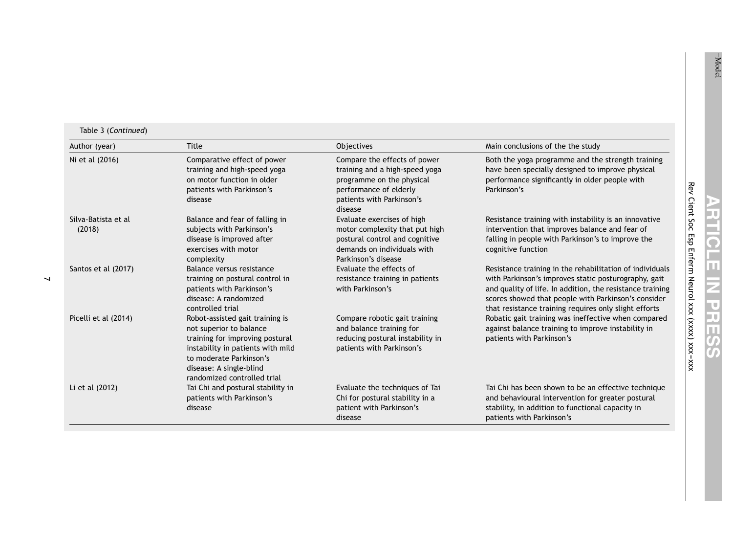| Author (year)                 | <b>Title</b>                                                                                                                                                                                                            | Objectives                                                                                                                                                    | Main conclusions of the the study                                                                                                                                                                                                                                                             |
|-------------------------------|-------------------------------------------------------------------------------------------------------------------------------------------------------------------------------------------------------------------------|---------------------------------------------------------------------------------------------------------------------------------------------------------------|-----------------------------------------------------------------------------------------------------------------------------------------------------------------------------------------------------------------------------------------------------------------------------------------------|
| Ni et al (2016)               | Comparative effect of power<br>training and high-speed yoga<br>on motor function in older<br>patients with Parkinson's<br>disease                                                                                       | Compare the effects of power<br>training and a high-speed yoga<br>programme on the physical<br>performance of elderly<br>patients with Parkinson's<br>disease | Both the yoga programme and the strength training<br>have been specially designed to improve physical<br>performance significantly in older people with<br>Parkinson's                                                                                                                        |
| Silva-Batista et al<br>(2018) | Balance and fear of falling in<br>subjects with Parkinson's<br>disease is improved after<br>exercises with motor<br>complexity                                                                                          | Evaluate exercises of high<br>motor complexity that put high<br>postural control and cognitive<br>demands on individuals with<br>Parkinson's disease          | Resistance training with instability is an innovative<br>intervention that improves balance and fear of<br>falling in people with Parkinson's to improve the<br>cognitive function                                                                                                            |
| Santos et al (2017)           | Balance versus resistance<br>training on postural control in<br>patients with Parkinson's<br>disease: A randomized<br>controlled trial                                                                                  | Evaluate the effects of<br>resistance training in patients<br>with Parkinson's                                                                                | Resistance training in the rehabilitation of individuals<br>with Parkinson's improves static posturography, gait<br>and quality of life. In addition, the resistance training<br>scores showed that people with Parkinson's consider<br>that resistance training requires only slight efforts |
| Picelli et al (2014)          | Robot-assisted gait training is<br>not superior to balance<br>training for improving postural<br>instability in patients with mild<br>to moderate Parkinson's<br>disease: A single-blind<br>randomized controlled trial | Compare robotic gait training<br>and balance training for<br>reducing postural instability in<br>patients with Parkinson's                                    | Robatic gait training was ineffective when compared<br>against balance training to improve instability in<br>patients with Parkinson's                                                                                                                                                        |
| Li et al (2012)               | Tai Chi and postural stability in<br>patients with Parkinson's<br>disease                                                                                                                                               | Evaluate the techniques of Tai<br>Chi for postural stability in a<br>patient with Parkinson's<br>disease                                                      | Tai Chi has been shown to be an effective technique<br>and behavioural intervention for greater postural<br>stability, in addition to functional capacity in<br>patients with Parkinson's                                                                                                     |

 $\overline{\text{Ni et al (2016)}}$ 

Silva-Batista et al (2018)

Santos et al (2017)

 $\overline{\phantom{0}}$ 

Li et al  $(2012)$ 

 $\mathbf{C}$ DF RTICLI Soc Enferm ш Neurol  $\overline{\mathsf{z}}$ PRESSS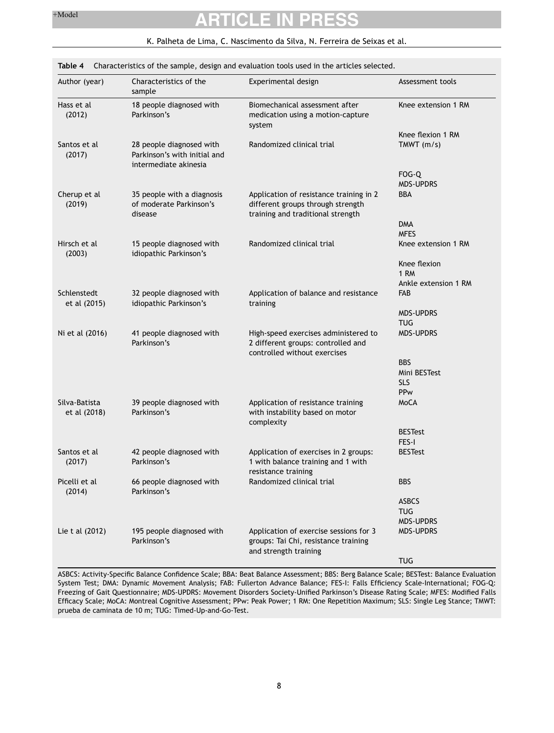<span id="page-7-0"></span>

| Author (year)                 | Characteristics of the<br>sample                                                  | Experimental design                                                                                               | Assessment tools     |
|-------------------------------|-----------------------------------------------------------------------------------|-------------------------------------------------------------------------------------------------------------------|----------------------|
| Hass et al<br>(2012)          | 18 people diagnosed with<br>Parkinson's                                           | Biomechanical assessment after<br>medication using a motion-capture<br>system                                     | Knee extension 1 RM  |
|                               |                                                                                   |                                                                                                                   | Knee flexion 1 RM    |
| Santos et al<br>(2017)        | 28 people diagnosed with<br>Parkinson's with initial and<br>intermediate akinesia | Randomized clinical trial                                                                                         | TMWT $(m/s)$         |
|                               |                                                                                   |                                                                                                                   | FOG-Q                |
|                               |                                                                                   |                                                                                                                   | <b>MDS-UPDRS</b>     |
| Cherup et al<br>(2019)        | 35 people with a diagnosis<br>of moderate Parkinson's<br>disease                  | Application of resistance training in 2<br>different groups through strength<br>training and traditional strength | BBA                  |
|                               |                                                                                   |                                                                                                                   | <b>DMA</b>           |
|                               |                                                                                   |                                                                                                                   | <b>MFES</b>          |
| Hirsch et al<br>(2003)        | 15 people diagnosed with<br>idiopathic Parkinson's                                | Randomized clinical trial                                                                                         | Knee extension 1 RM  |
|                               |                                                                                   |                                                                                                                   | Knee flexion         |
|                               |                                                                                   |                                                                                                                   | 1 RM                 |
|                               |                                                                                   |                                                                                                                   | Ankle extension 1 RM |
| Schlenstedt<br>et al (2015)   | 32 people diagnosed with<br>idiopathic Parkinson's                                | Application of balance and resistance<br>training                                                                 | FAB                  |
|                               |                                                                                   |                                                                                                                   | <b>MDS-UPDRS</b>     |
|                               |                                                                                   |                                                                                                                   | <b>TUG</b>           |
| Ni et al (2016)               | 41 people diagnosed with<br>Parkinson's                                           | High-speed exercises administered to<br>2 different groups: controlled and<br>controlled without exercises        | <b>MDS-UPDRS</b>     |
|                               |                                                                                   |                                                                                                                   | <b>BBS</b>           |
|                               |                                                                                   |                                                                                                                   | Mini BESTest         |
|                               |                                                                                   |                                                                                                                   | <b>SLS</b>           |
|                               |                                                                                   |                                                                                                                   | PPw                  |
| Silva-Batista<br>et al (2018) | 39 people diagnosed with<br>Parkinson's                                           | Application of resistance training<br>with instability based on motor                                             | MoCA                 |
|                               |                                                                                   | complexity                                                                                                        | <b>BESTest</b>       |
|                               |                                                                                   |                                                                                                                   | FES-I                |
| Santos et al                  | 42 people diagnosed with                                                          | Application of exercises in 2 groups:                                                                             | <b>BESTest</b>       |
| (2017)                        | Parkinson's                                                                       | 1 with balance training and 1 with<br>resistance training                                                         |                      |
| Picelli et al<br>(2014)       | 66 people diagnosed with<br>Parkinson's                                           | Randomized clinical trial                                                                                         | <b>BBS</b>           |
|                               |                                                                                   |                                                                                                                   | <b>ASBCS</b>         |
|                               |                                                                                   |                                                                                                                   | <b>TUG</b>           |
|                               |                                                                                   |                                                                                                                   | <b>MDS-UPDRS</b>     |
| Lie t al (2012)               | 195 people diagnosed with<br>Parkinson's                                          | Application of exercise sessions for 3<br>groups: Tai Chi, resistance training                                    | <b>MDS-UPDRS</b>     |
|                               |                                                                                   | and strength training                                                                                             |                      |
|                               |                                                                                   |                                                                                                                   | <b>TUG</b>           |

### K. Palheta de Lima, C. Nascimento da Silva, N. Ferreira de Seixas et al.

ASBCS: Activity-Specific Balance Confidence Scale; BBA: Beat Balance Assessment; BBS: Berg Balance Scale; BESTest: Balance Evaluation System Test; DMA: Dynamic Movement Analysis; FAB: Fullerton Advance Balance; FES-I: Falls Efficiency Scale-International; FOG-Q: Freezing of Gait Questionnaire; MDS-UPDRS: Movement Disorders Society-Unified Parkinson's Disease Rating Scale; MFES: Modified Falls Efficacy Scale; MoCA: Montreal Cognitive Assessment; PPw: Peak Power; 1 RM: One Repetition Maximum; SLS: Single Leg Stance; TMWT: prueba de caminata de 10 m; TUG: Timed-Up-and-Go-Test.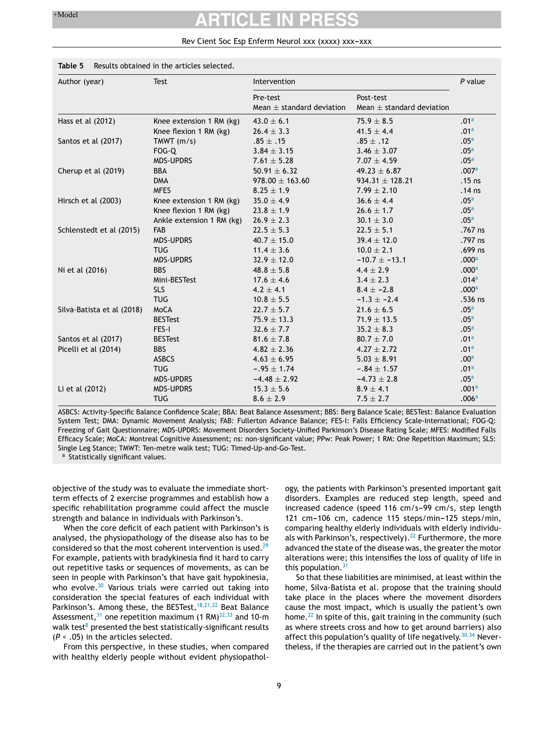#### Rev Cient Soc Esp Enferm Neurol xxx (xxxx) xxx-xxx

#### <span id="page-8-0"></span>**Table 5** Results obtained in the articles selected.

| Author (year)              | <b>Test</b>               | Intervention                              |                                            | $P$ value         |
|----------------------------|---------------------------|-------------------------------------------|--------------------------------------------|-------------------|
|                            |                           | Pre-test<br>Mean $\pm$ standard deviation | Post-test<br>Mean $\pm$ standard deviation |                   |
| Hass et al (2012)          | Knee extension 1 RM (kg)  | $43.0 \pm 6.1$                            | $75.9 \pm 8.5$                             | .01 <sup>a</sup>  |
|                            | Knee flexion 1 RM (kg)    | $26.4 \pm 3.3$                            | 41.5 $\pm$ 4.4                             | .01 <sup>a</sup>  |
| Santos et al (2017)        | TMWT $(m/s)$              | $.85 \pm .15$                             | $.85 \pm .12$                              | .05 <sup>a</sup>  |
|                            | FOG-Q                     | $3.84 \pm 3.15$                           | $3.46 \pm 3.07$                            | .05 <sup>a</sup>  |
|                            | <b>MDS-UPDRS</b>          | $7.61 \pm 5.28$                           | $7.07 \pm 4.59$                            | .05 <sup>a</sup>  |
| Cherup et al (2019)        | <b>BBA</b>                | $50.91 \pm 6.32$                          | $49.23 \pm 6.87$                           | .007a             |
|                            | <b>DMA</b>                | $978.00 \pm 163.60$                       | $934.31 \pm 128.21$                        | $.15$ ns          |
|                            | <b>MFES</b>               | $8.25 \pm 1.9$                            | $7.99 \pm 2.10$                            | $.14$ ns          |
| Hirsch et al (2003)        | Knee extension 1 RM (kg)  | $35.0 \pm 4.9$                            | $36.6 \pm 4.4$                             | .05 <sup>a</sup>  |
|                            | Knee flexion 1 RM (kg)    | $23.8 \pm 1.9$                            | $26.6 \pm 1.7$                             | .05 <sup>a</sup>  |
|                            | Ankle extension 1 RM (kg) | $26.9 \pm 2.3$                            | $30.1 \pm 3.0$                             | .05 <sup>a</sup>  |
| Schlenstedt et al (2015)   | <b>FAB</b>                | $22.5 \pm 5.3$                            | $22.5 \pm 5.1$                             | .767 ns           |
|                            | <b>MDS-UPDRS</b>          | $40.7 \pm 15.0$                           | $39.4 \pm 12.0$                            | .797 ns           |
|                            | <b>TUG</b>                | $11.4 \pm 3.6$                            | $10.0 \pm 2.1$                             | $.699$ ns         |
|                            | <b>MDS-UPDRS</b>          | $32.9 \pm 12.0$                           | $-10.7 \pm -13.1$                          | .000 <sup>a</sup> |
| Ni et al (2016)            | <b>BBS</b>                | $48.8 \pm 5.8$                            | $4.4 \pm 2.9$                              | .000 <sup>a</sup> |
|                            | Mini-BESTest              | $17.6 \pm 4.6$                            | $3.4 \pm 2.3$                              | .014 <sup>a</sup> |
|                            | <b>SLS</b>                | $4.2 \pm 4.1$                             | $8.4 \pm -2.8$                             | .000 <sup>a</sup> |
|                            | <b>TUG</b>                | $10.8 \pm 5.5$                            | $-1.3 \pm -2.4$                            | .536 ns           |
| Silva-Batista et al (2018) | MoCA                      | $22.7 \pm 5.7$                            | $21.6 \pm 6.5$                             | .05 <sup>a</sup>  |
|                            | <b>BESTest</b>            | $75.9 \pm 13.3$                           | $71.9 \pm 13.5$                            | .05 <sup>a</sup>  |
|                            | FES-I                     | $32.6 \pm 7.7$                            | $35.2 \pm 8.3$                             | .05 <sup>a</sup>  |
| Santos et al (2017)        | <b>BESTest</b>            | $81.6 \pm 7.8$                            | $80.7 \pm 7.0$                             | .01 <sup>a</sup>  |
| Picelli et al (2014)       | <b>BBS</b>                | $4.82 \pm 2.36$                           | $4.27 \pm 2.72$                            | .01 <sup>a</sup>  |
|                            | <b>ASBCS</b>              | $4.63 \pm 6.95$                           | $5.03 \pm 8.91$                            | .00 <sup>a</sup>  |
|                            | <b>TUG</b>                | $-.95 \pm 1.74$                           | $-.84 \pm 1.57$                            | .01 <sup>a</sup>  |
|                            | <b>MDS-UPDRS</b>          | $-4.48 \pm 2.92$                          | $-4.73 \pm 2.8$                            | .05 <sup>a</sup>  |
| Li et al (2012)            | <b>MDS-UPDRS</b>          | $15.3 \pm 5.6$                            | $8.9 \pm 4.1$                              | .001 <sup>a</sup> |
|                            | <b>TUG</b>                | $8.6 \pm 2.9$                             | $7.5 \pm 2.7$                              | .006 <sup>a</sup> |

ASBCS: Activity-Specific Balance Confidence Scale; BBA: Beat Balance Assessment; BBS: Berg Balance Scale; BESTest: Balance Evaluation System Test; DMA: Dynamic Movement Analysis; FAB: Fullerton Advance Balance; FES-I: Falls Efficiency Scale-International; FOG-Q: Freezing of Gait Questionnaire; MDS-UPDRS: Movement Disorders Society-Unified Parkinson's Disease Rating Scale; MFES: Modified Falls Efficacy Scale; MoCA: Montreal Cognitive Assessment; ns: non-significant value; PPw: Peak Power; 1 RM: One Repetition Maximum; SLS: Single Leg Stance; TMWT: Ten-metre walk test; TUG: Timed-Up-and-Go-Test.

<sup>a</sup> Statistically significant values.

objective of the study was to evaluate the immediate shortterm effects of 2 exercise programmes and establish how a specific rehabilitation programme could affect the muscle strength and balance in individuals with Parkinson's.

When the core deficit of each patient with Parkinson's is analysed, the physiopathology of the disease also has to be considered so that the most coherent intervention is used. $29$ For example, patients with bradykinesia find it hard to carry out repetitive tasks or sequences of movements, as can be seen in people with Parkinson's that have gait hypokinesia, who evolve. $30$  Various trials were carried out taking into consideration the special features of each individual with Parkinson's. Among these, the BESTest, <sup>[18,21,22](#page-9-0)</sup> Beat Balance Assessment,  $31$  one repetition maximum (1 RM) $32,33$  and 10-m walk test<su[p](#page-9-0)>8</sup> presented the best statistically-significant results (*P* < .05) in the articles selected.

From this perspective, in these studies, when compared with healthy elderly people without evident physiopathology, the patients with Parkinson's presented important gait disorders. Examples are reduced step length, speed and increased cadence (speed 116 cm/s-99 cm/s, step length 121 cm-106 cm, cadence 115 steps/min-125 steps/min, comparing healthy elderly individuals with elderly individu-als with Parkinson's, respectively).<sup>[22](#page-10-0)</sup> Furthermore, the more advanced the state of the disease was, the greater the motor alterations were; this intensifies the loss of quality of life in this population. $3<sup>7</sup>$ 

So that these liabilities are minimised, at least within the home, Silva-Batista et al. propose that the training should take place in the places where the movement disorders cause the most impact, which is usually the patient's own home. $^{22}$  $^{22}$  $^{22}$  In spite of this, gait training in the community (such as where streets cross and how to get around barriers) also affect this population's quality of life negatively.  $30,34$  Nevertheless, if the therapies are carried out in the patient's own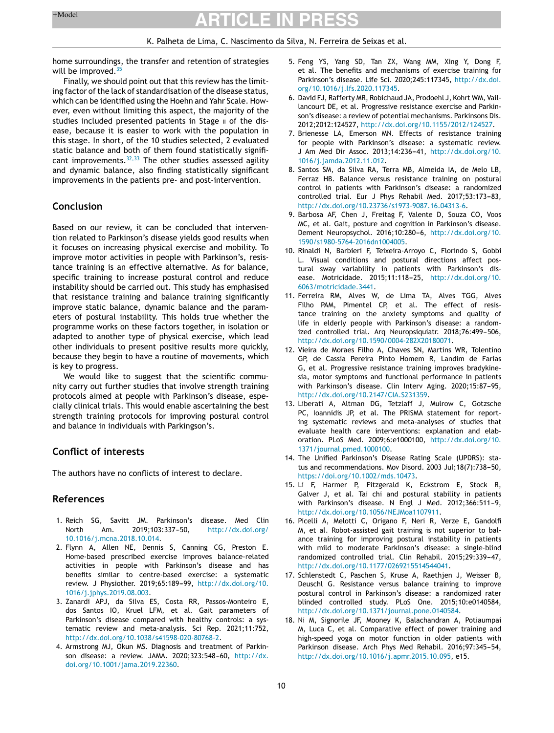#### K. Palheta de Lima, C. Nascimento da Silva, N. Ferreira de Seixas et al.

<span id="page-9-0"></span>home surroundings, the transfer and retention of strategies will be improved.  $35$ 

Finally, we should point out that this review has the limiting factor of the lack of standardisation of the disease status, which can be identified using the Hoehn and Yahr Scale. However, even without limiting this aspect, the majority of the studies included presented patients in Stage II of the disease, because it is easier to work with the population in this stage. In short, of the 10 studies selected, 2 evaluated static balance and both of them found statistically signifi-cant improvements.<sup>[32,33](#page-10-0)</sup> The other studies assessed agility and dynamic balance, also finding statistically significant improvements in the patients pre- and post-intervention.

#### **Conclusion**

Based on our review, it can be concluded that intervention related to Parkinson's disease yields good results when it focuses on increasing physical exercise and mobility. To improve motor activities in people with Parkinson's, resistance training is an effective alternative. As for balance, specific training to increase postural control and reduce instability should be carried out. This study has emphasised that resistance training and balance training significantly improve static balance, dynamic balance and the parameters of postural instability. This holds true whether the programme works on these factors together, in isolation or adapted to another type of physical exercise, which lead other individuals to present positive results more quickly, because they begin to have a routine of movements, which is key to progress.

We would like to suggest that the scientific community carry out further studies that involve strength training protocols aimed at people with Parkinson's disease, especially clinical trials. This would enable ascertaining the best strength training protocols for improving postural control and balance in individuals with Parkingson's.

#### **Conflict of interests**

The authors have no conflicts of interest to declare.

#### **References**

- 1. Reich SG, Savitt JM. Parkinson's disease. Med Clin North Am. 2019:103:337-50. [http://dx.doi.org/](dx.doi.org/10.1016/j.mcna.2018.10.014) [10.1016/j.mcna.2018.10.014](dx.doi.org/10.1016/j.mcna.2018.10.014).
- 2. Flynn A, Allen NE, Dennis S, Canning CG, Preston E. Home-based prescribed exercise improves balance-related activities in people with Parkinson's disease and has benefits similar to centre-based exercise: a systematic review. J Physiother. 2019;65:189-99, [http://dx.doi.org/10.](dx.doi.org/10.1016/j.jphys.2019.08.003) [1016/j.jphys.2019.08.003.](dx.doi.org/10.1016/j.jphys.2019.08.003)
- 3. Zanardi APJ, da Silva ES, Costa RR, Passos-Monteiro E, dos Santos IO, Kruel LFM, et al. Gait parameters of Parkinson's disease compared with healthy controls: a systematic review and meta-analysis. Sci Rep. 2021;11:752, [http://dx.doi.org/10.1038/s41598-020-80768-2.](dx.doi.org/10.1038/s41598-020-80768-2)
- 4. Armstrong MJ, Okun MS. Diagnosis and treatment of Parkinson disease: a review. JAMA. 2020;323:548-60, [http://dx.](dx.doi.org/10.1001/jama.2019.22360) [doi.org/10.1001/jama.2019.22360.](dx.doi.org/10.1001/jama.2019.22360)
- 5. Feng YS, Yang SD, Tan ZX, Wang MM, Xing Y, Dong F, et al. The benefits and mechanisms of exercise training for Parkinson's disease. Life Sci. 2020;245:117345, [http://dx.doi.](dx.doi.org/10.1016/j.lfs.2020.117345) [org/10.1016/j.lfs.2020.117345.](dx.doi.org/10.1016/j.lfs.2020.117345)
- 6. David FJ, Rafferty MR, Robichaud JA, Prodoehl J, Kohrt WM, Vaillancourt DE, et al. Progressive resistance exercise and Parkinson's disease: a review of potential mechanisms. Parkinsons Dis. 2012;2012:124527, [http://dx.doi.org/10.1155/2012/124527.](dx.doi.org/10.1155/2012/124527)
- 7. Brienesse LA, Emerson MN. Effects of resistance training for people with Parkinson's disease: a systematic review. J Am Med Dir Assoc. 2013:14:236-41, [http://dx.doi.org/10.](dx.doi.org/10.1016/j.jamda.2012.11.012) [1016/j.jamda.2012.11.012](dx.doi.org/10.1016/j.jamda.2012.11.012).
- 8. Santos SM, da Silva RA, Terra MB, Almeida IA, de Melo LB, Ferraz HB. Balance versus resistance training on postural control in patients with Parkinson's disease: a randomized controlled trial. Eur J Phys Rehabil Med. 2017;53:173-83, [http://dx.doi.org/10.23736/s1973-9087.16.04313-6](dx.doi.org/10.23736/s1973-9087.16.04313-6).
- 9. Barbosa AF, Chen J, Freitag F, Valente D, Souza CO, Voos MC, et al. Gait, posture and cognition in Parkinson's disease. Dement Neuropsychol. 2016;10:280-6, [http://dx.doi.org/10.](dx.doi.org/10.1590/s1980-5764-2016dn1004005) [1590/s1980-5764-2016dn1004005](dx.doi.org/10.1590/s1980-5764-2016dn1004005).
- 10. Rinaldi N, Barbieri F, Teixeira-Arroyo C, Florindo S, Gobbi L. Visual conditions and postural directions affect postural sway variability in patients with Parkinson's disease. Motricidade. 2015;11:118-25, [http://dx.doi.org/10.](dx.doi.org/10.6063/motricidade.3441) [6063/motricidade.3441.](dx.doi.org/10.6063/motricidade.3441)
- 11. Ferreira RM, Alves W, de Lima TA, Alves TGG, Alves Filho PAM, Pimentel CP, et al. The effect of resistance training on the anxiety symptoms and quality of life in elderly people with Parkinson's disease: a randomized controlled trial. Arq Neuropsiquiatr. 2018;76:499-506, [http://dx.doi.org/10.1590/0004-282X20180071](dx.doi.org/10.1590/0004-282X20180071).
- 12. Vieira de Moraes Filho A, Chaves SN, Martins WR, Tolentino GP, de Cassia Pereira Pinto Homem R, Landim de Farias G, et al. Progressive resistance training improves bradykinesia, motor symptoms and functional performance in patients with Parkinson's disease. Clin Interv Aging. 2020;15:87-95, [http://dx.doi.org/10.2147/CIA.S231359.](dx.doi.org/10.2147/CIA.S231359)
- 13. Liberati A, Altman DG, Tetzlaff J, Mulrow C, Gotzsche PC, Ioannidis JP, et al. The PRISMA statement for reporting systematic reviews and meta-analyses of studies that evaluate health care interventions: explanation and elaboration. PLoS Med. 2009;6:e1000100, [http://dx.doi.org/10.](dx.doi.org/10.1371/journal.pmed.1000100) [1371/journal.pmed.1000100](dx.doi.org/10.1371/journal.pmed.1000100).
- 14. The Unified Parkinson's Disease Rating Scale (UPDRS): status and recommendations. Mov Disord. 2003 Jul;18(7):738-50, <https://doi.org/10.1002/mds.10473>.
- 15. Li F, Harmer P, Fitzgerald K, Eckstrom E, Stock R, Galver J, et al. Tai chi and postural stability in patients with Parkinson's disease. N Engl J Med. 2012;366:511-9, [http://dx.doi.org/10.1056/NEJMoa1107911.](dx.doi.org/10.1056/NEJMoa1107911)
- 16. Picelli A, Melotti C, Origano F, Neri R, Verze E, Gandolfi M, et al. Robot-assisted gait training is not superior to balance training for improving postural instability in patients with mild to moderate Parkinson's disease: a single-blind randomized controlled trial. Clin Rehabil. 2015;29:339-47, [http://dx.doi.org/10.1177/0269215514544041](dx.doi.org/10.1177/0269215514544041).
- 17. Schlenstedt C, Paschen S, Kruse A, Raethjen J, Weisser B, Deuschl G. Resistance versus balance training to improve postural control in Parkinson's disease: a randomized rater blinded controlled study. PLoS One. 2015;10:e0140584, [http://dx.doi.org/10.1371/journal.pone.0140584](dx.doi.org/10.1371/journal.pone.0140584).
- 18. Ni M, Signorile JF, Mooney K, Balachandran A, Potiaumpai M, Luca C, et al. Comparative effect of power training and high-speed yoga on motor function in older patients with Parkinson disease. Arch Phys Med Rehabil. 2016;97:345-54, [http://dx.doi.org/10.1016/j.apmr.2015.10.095,](dx.doi.org/10.1016/j.apmr.2015.10.095) e15.